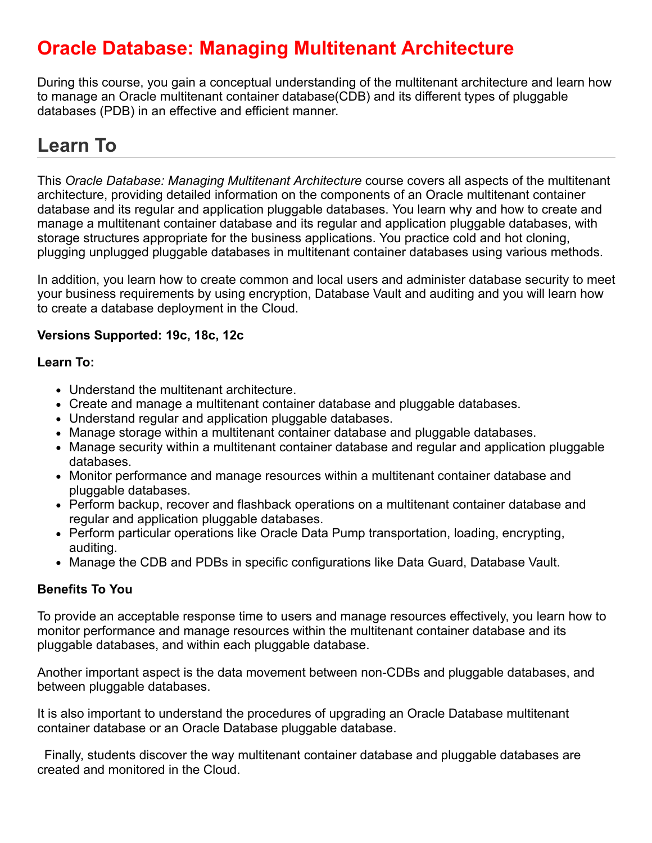### **Oracle Database: Managing Multitenant Architecture**

During this course, you gain a conceptual understanding of the multitenant architecture and learn how to manage an Oracle multitenant container database(CDB) and its different types of pluggable databases (PDB) in an effective and efficient manner.

# **Learn To**

This *Oracle Database: Managing Multitenant Architecture* course covers all aspects of the multitenant architecture, providing detailed information on the components of an Oracle multitenant container database and its regular and application pluggable databases. You learn why and how to create and manage a multitenant container database and its regular and application pluggable databases, with storage structures appropriate for the business applications. You practice cold and hot cloning, plugging unplugged pluggable databases in multitenant container databases using various methods.

In addition, you learn how to create common and local users and administer database security to meet your business requirements by using encryption, Database Vault and auditing and you will learn how to create a database deployment in the Cloud.

### **Versions Supported: 19c, 18c, 12c**

#### **Learn To:**

- Understand the multitenant architecture.
- Create and manage a multitenant container database and pluggable databases.
- Understand regular and application pluggable databases.
- Manage storage within a multitenant container database and pluggable databases.
- Manage security within a multitenant container database and regular and application pluggable databases.
- Monitor performance and manage resources within a multitenant container database and pluggable databases.
- Perform backup, recover and flashback operations on a multitenant container database and regular and application pluggable databases.
- Perform particular operations like Oracle Data Pump transportation, loading, encrypting, auditing.
- Manage the CDB and PDBs in specific configurations like Data Guard, Database Vault.

### **Benefits To You**

To provide an acceptable response time to users and manage resources effectively, you learn how to monitor performance and manage resources within the multitenant container database and its pluggable databases, and within each pluggable database.

Another important aspect is the data movement between non-CDBs and pluggable databases, and between pluggable databases.

It is also important to understand the procedures of upgrading an Oracle Database multitenant container database or an Oracle Database pluggable database.

 Finally, students discover the way multitenant container database and pluggable databases are created and monitored in the Cloud.